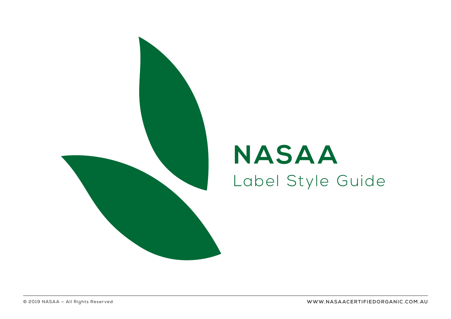

# **NASAA** Label Style Guide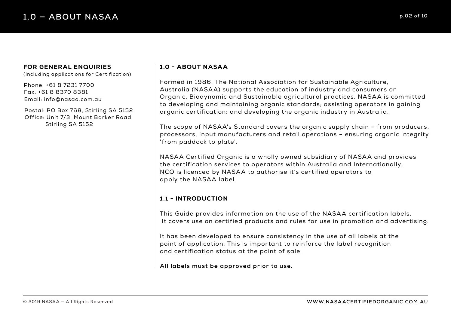#### FOR GENERAL ENQUIRIES

(including applications for Certification)

Phone: +61 8 7231 7700 Fax: +61 8 8370 8381 Email: info@nasaa.com.au

Postal: PO Box 768, Stirling SA 5152 Office: Unit 7/3, Mount Barker Road, Stirling SA 5152

## 1.0 - ABOUT NASAA

Formed in 1986, The National Association for Sustainable Agriculture, Australia (NASAA) supports the education of industry and consumers on Organic, Biodynamic and Sustainable agricultural practices. NASAA is committed to developing and maintaining organic standards; assisting operators in gaining organic certification; and developing the organic industry in Australia.

The scope of NASAA's Standard covers the organic supply chain – from producers, processors, input manufacturers and retail operations – ensuring organic integrity 'from paddock to plate'.

NASAA Certified Organic is a wholly owned subsidiary of NASAA and provides the certification services to operators within Australia and Internationally. NCO is licenced by NASAA to authorise it's certified operators to apply the NASAA label.

## 1.1 - INTRODUCTION

This Guide provides information on the use of the NASAA certification labels. It covers use on certified products and rules for use in promotion and advertising.

It has been developed to ensure consistency in the use of all labels at the point of application. This is important to reinforce the label recognition and certification status at the point of sale.

**All labels must be approved prior to use.**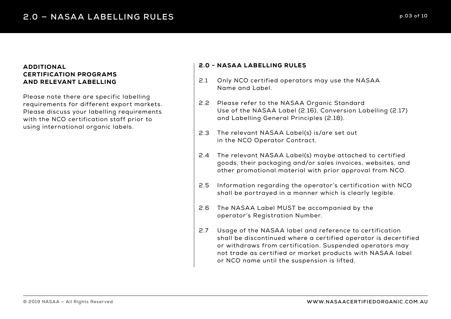#### ADDITIONAL CERTIFICATION PROGRAMS AND RELEVANT LABELLING

Please note there are specific labelling requirements for different export markets. Please discuss your labelling requirements with the NCO certification staff prior to using international organic labels.

#### 2.0 - NASAA LABELLING RULES

- Only NCO certified operators may use the NASAA Name and Label. 2.1
- 2.2 Please refer to the NASAA Organic Standard Use of the NASAA Label (2.16), Conversion Labelling (2.17) and Labelling General Principles (2.18).
- 2.3 The relevant NASAA Label(s) is/are set out in the NCO Operator Contract.
- The relevant NASAA Label(s) maybe attached to certified 2.4 goods, their packaging and/or sales invoices, websites, and other promotional material with prior approval from NCO.
- Information regarding the operator's certification with NCO shall be portrayed in a manner which is clearly legible. 2.5
- The NASAA Label MUST be accompanied by the operator's Registration Number. 2.6
- Usage of the NASAA label and reference to certification shall be discontinued where a certified operator is decertified or withdraws from certification. Suspended operators may not trade as certified or market products with NASAA label or NCO name until the suspension is lifted. 2.7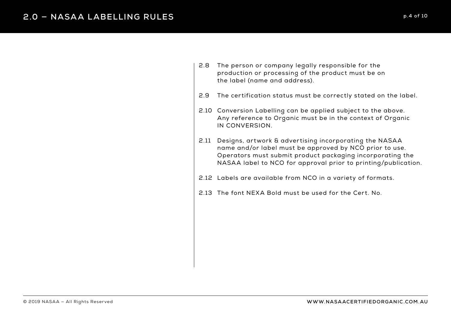- 2.8 The person or company legally responsible for the production or processing of the product must be on the label (name and address).
- The certification status must be correctly stated on the label. 2.9
- 2.10 Conversion Labelling can be applied subject to the above. Any reference to Organic must be in the context of Organic IN CONVERSION.
- Designs, artwork & advertising incorporating the NASAA 2.11 name and/or label must be approved by NCO prior to use. Operators must submit product packaging incorporating the NASAA label to NCO for approval prior to printing/publication.
- Labels are available from NCO in a variety of formats. 2.12
- 2.13 The font NEXA Bold must be used for the Cert. No.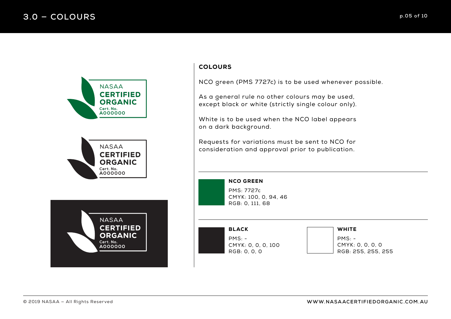





# **COLOURS**

NCO green (PMS 7727c) is to be used whenever possible.

As a general rule no other colours may be used, except black or white (strictly single colour only).

White is to be used when the NCO label appears on a dark background.

Requests for variations must be sent to NCO for consideration and approval prior to publication.

> NCO GREEN PMS: 7727c CMYK: 100, 0, 94, 46 RGB: 0, 111, 68

BLACK PMS: - CMYK: 0, 0, 0, 100 RGB: 0, 0, 0

#### WHITE

 $PMS: -$ CMYK: 0, 0, 0, 0 RGB: 255, 255, 255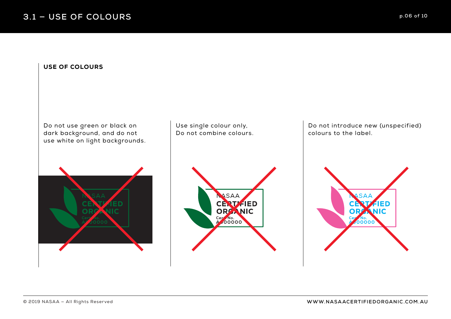### USE OF COLOURS

Do not use green or black on dark background, and do not use white on light backgrounds.



Use single colour only, Do not combine colours.



Do not introduce new (unspecified) colours to the label.

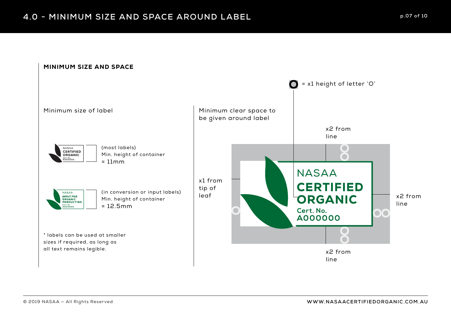#### MINIMUM SIZE AND SPACE

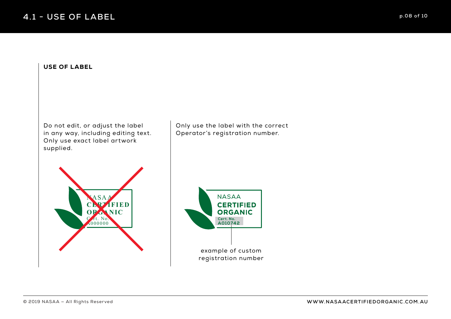# **4.1 - USE OF LABEL p.08 of 10**

#### USE OF LABEL

Do not edit, or adjust the label in any way, including editing text. Only use exact label artwork supplied.

Only use the label with the correct Operator's registration number.



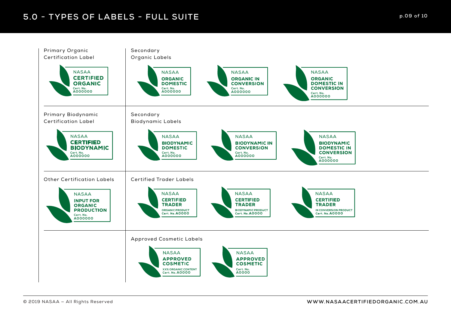# **5.0 - TYPES OF LABELS - FULL SUITE Decision of 10** and 20 and 20 p.09 of 10